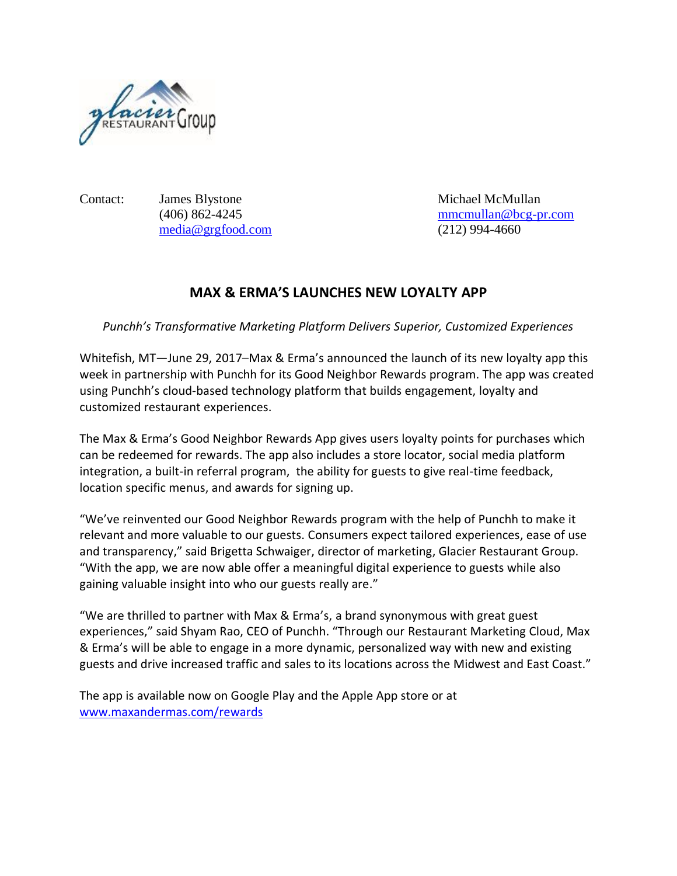

Contact: James Blystone Michael McMullan [media@grgfood.com](mailto:media@grgfood.com) (212) 994-4660

(406) 862-4245 [mmcmullan@bcg-pr.com](mailto:mmcmullan@bcg-pr.com)

## **MAX & ERMA'S LAUNCHES NEW LOYALTY APP**

*Punchh's Transformative Marketing Platform Delivers Superior, Customized Experiences*

Whitefish, MT—June 29, 2017–Max & Erma's announced the launch of its new loyalty app this week in partnership with Punchh for its Good Neighbor Rewards program. The app was created using Punchh's cloud-based technology platform that builds engagement, loyalty and customized restaurant experiences.

The Max & Erma's Good Neighbor Rewards App gives users loyalty points for purchases which can be redeemed for rewards. The app also includes a store locator, social media platform integration, a built-in referral program, the ability for guests to give real-time feedback, location specific menus, and awards for signing up.

"We've reinvented our Good Neighbor Rewards program with the help of Punchh to make it relevant and more valuable to our guests. Consumers expect tailored experiences, ease of use and transparency," said Brigetta Schwaiger, director of marketing, Glacier Restaurant Group. "With the app, we are now able offer a meaningful digital experience to guests while also gaining valuable insight into who our guests really are."

"We are thrilled to partner with Max & Erma's, a brand synonymous with great guest experiences," said Shyam Rao, CEO of Punchh. "Through our Restaurant Marketing Cloud, Max & Erma's will be able to engage in a more dynamic, personalized way with new and existing guests and drive increased traffic and sales to its locations across the Midwest and East Coast."

The app is available now on Google Play and the Apple App store or at [www.maxandermas.com/rewards](http://www.maxandermas.com/rewards)